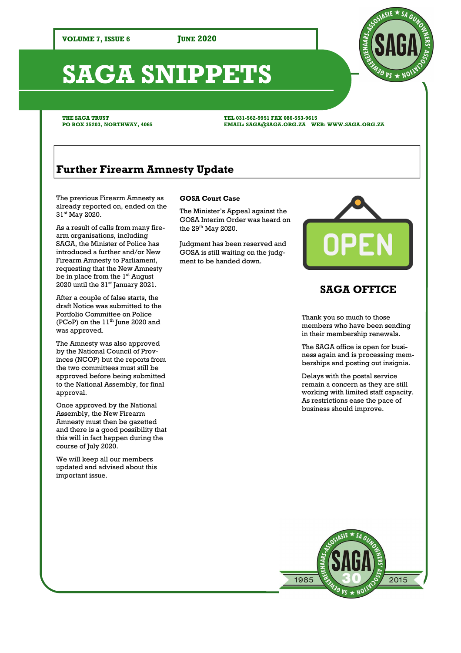# **SAGA SNIPPETS**

**THE SAGA TRUST PO BOX 35203, NORTHWAY, 4065**  **TEL 031-562-9951 FAX 086-553-9615 EMAIL: SAGA@SAGA.ORG.ZA WEB: WWW.SAGA.ORG.ZA** 

# **Further Firearm Amnesty Update**

The previous Firearm Amnesty as already reported on, ended on the 31st May 2020.

As a result of calls from many firearm organisations, including SAGA, the Minister of Police has introduced a further and/or New Firearm Amnesty to Parliament, requesting that the New Amnesty be in place from the  $1<sup>st</sup>$  August 2020 until the 31<sup>st</sup> January 2021.

After a couple of false starts, the draft Notice was submitted to the Portfolio Committee on Police (PCoP) on the  $11<sup>th</sup>$  June 2020 and was approved.

The Amnesty was also approved by the National Council of Provinces (NCOP) but the reports from the two committees must still be approved before being submitted to the National Assembly, for final approval.

Once approved by the National Assembly, the New Firearm Amnesty must then be gazetted and there is a good possibility that this will in fact happen during the course of July 2020.

We will keep all our members updated and advised about this important issue.

## **GOSA Court Case**

The Minister's Appeal against the GOSA Interim Order was heard on the  $29^{th}$  May 2020.

Judgment has been reserved and GOSA is still waiting on the judgment to be handed down.



## **SAGA OFFICE**

Thank you so much to those members who have been sending in their membership renewals.

The SAGA office is open for business again and is processing memberships and posting out insignia.

Delays with the postal service remain a concern as they are still working with limited staff capacity. As restrictions ease the pace of business should improve.



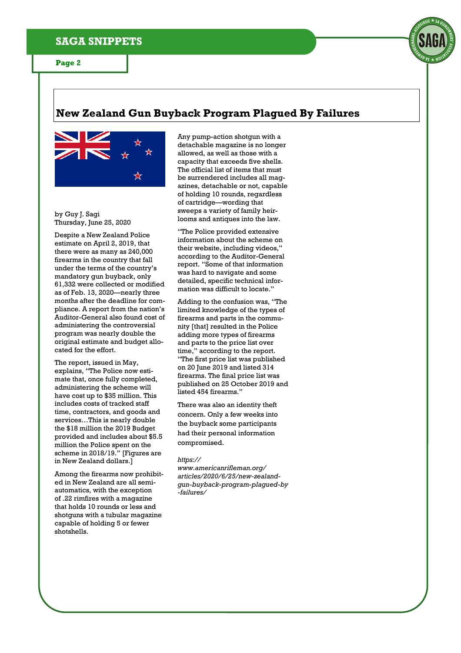

## **New Zealand Gun Buyback Program Plagued By Failures**



by Guy J. Sagi Thursday, June 25, 2020

Despite a New Zealand Police estimate on April 2, 2019, that there were as many as 240,000 firearms in the country that fall under the terms of the country's mandatory gun buyback, only 61,332 were collected or modified as of Feb. 13, 2020—nearly three months after the deadline for compliance. A report from the nation's Auditor-General also found cost of administering the controversial program was nearly double the original estimate and budget allocated for the effort.

The report, issued in May, explains, "The Police now estimate that, once fully completed, administering the scheme will have cost up to \$35 million. This includes costs of tracked staff time, contractors, and goods and services…This is nearly double the \$18 million the 2019 Budget provided and includes about \$5.5 million the Police spent on the scheme in 2018/19." [Figures are in New Zealand dollars.]

Among the firearms now prohibited in New Zealand are all semiautomatics, with the exception of .22 rimfires with a magazine that holds 10 rounds or less and shotguns with a tubular magazine capable of holding 5 or fewer shotshells.

Any pump-action shotgun with a detachable magazine is no longer allowed, as well as those with a capacity that exceeds five shells. The official list of items that must be surrendered includes all magazines, detachable or not, capable of holding 10 rounds, regardless of cartridge—wording that sweeps a variety of family heirlooms and antiques into the law.

"The Police provided extensive information about the scheme on their website, including videos," according to the Auditor-General report. "Some of that information was hard to navigate and some detailed, specific technical information was difficult to locate."

Adding to the confusion was, "The limited knowledge of the types of firearms and parts in the community [that] resulted in the Police adding more types of firearms and parts to the price list over time," according to the report. "The first price list was published on 20 June 2019 and listed 314 firearms. The final price list was published on 25 October 2019 and listed 454 firearms."

There was also an identity theft concern. Only a few weeks into the buyback some participants had their personal information compromised.

#### *https://*

*www.americanrifleman.org/ articles/2020/6/25/new-zealandgun-buyback-program-plagued-by -failures/*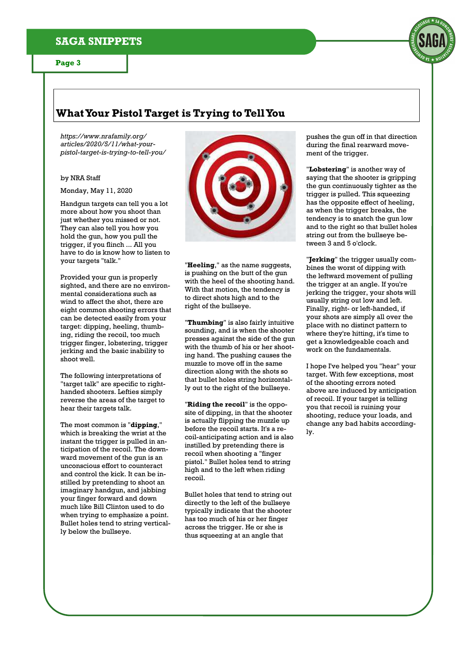## **SAGA SNIPPETS**

#### **Page 3**

## **What Your Pistol Target is Trying to Tell You**

*https://www.nrafamily.org/ articles/2020/5/11/what-yourpistol-target-is-trying-to-tell-you/* 

#### by NRA Staff

Monday, May 11, 2020

Handgun targets can tell you a lot more about how you shoot than just whether you missed or not. They can also tell you how you hold the gun, how you pull the trigger, if you flinch ... All you have to do is know how to listen to your targets "talk."

Provided your gun is properly sighted, and there are no environmental considerations such as wind to affect the shot, there are eight common shooting errors that can be detected easily from your target: dipping, heeling, thumbing, riding the recoil, too much trigger finger, lobstering, trigger jerking and the basic inability to shoot well.

The following interpretations of "target talk" are specific to righthanded shooters. Lefties simply reverse the areas of the target to hear their targets talk.

The most common is "**dipping**," which is breaking the wrist at the instant the trigger is pulled in anticipation of the recoil. The downward movement of the gun is an unconscious effort to counteract and control the kick. It can be instilled by pretending to shoot an imaginary handgun, and jabbing your finger forward and down much like Bill Clinton used to do when trying to emphasize a point. Bullet holes tend to string vertically below the bullseye.



"**Heeling**," as the name suggests, is pushing on the butt of the gun with the heel of the shooting hand. With that motion, the tendency is to direct shots high and to the right of the bullseye.

"**Thumbing**" is also fairly intuitive sounding, and is when the shooter presses against the side of the gun with the thumb of his or her shooting hand. The pushing causes the muzzle to move off in the same direction along with the shots so that bullet holes string horizontally out to the right of the bullseye.

"**Riding the recoil**" is the opposite of dipping, in that the shooter is actually flipping the muzzle up before the recoil starts. It's a recoil-anticipating action and is also instilled by pretending there is recoil when shooting a "finger pistol." Bullet holes tend to string high and to the left when riding recoil.

Bullet holes that tend to string out directly to the left of the bullseye typically indicate that the shooter has too much of his or her finger across the trigger. He or she is thus squeezing at an angle that

pushes the gun off in that direction during the final rearward movement of the trigger.

"**Lobstering**" is another way of saying that the shooter is gripping the gun continuously tighter as the trigger is pulled. This squeezing has the opposite effect of heeling, as when the trigger breaks, the tendency is to snatch the gun low and to the right so that bullet holes string out from the bullseye between 3 and 5 o'clock.

"**Jerking**" the trigger usually combines the worst of dipping with the leftward movement of pulling the trigger at an angle. If you're jerking the trigger, your shots will usually string out low and left. Finally, right- or left-handed, if your shots are simply all over the place with no distinct pattern to where they're hitting, it's time to get a knowledgeable coach and work on the fundamentals.

I hope I've helped you "hear" your target. With few exceptions, most of the shooting errors noted above are induced by anticipation of recoil. If your target is telling you that recoil is ruining your shooting, reduce your loads, and change any bad habits accordingly.